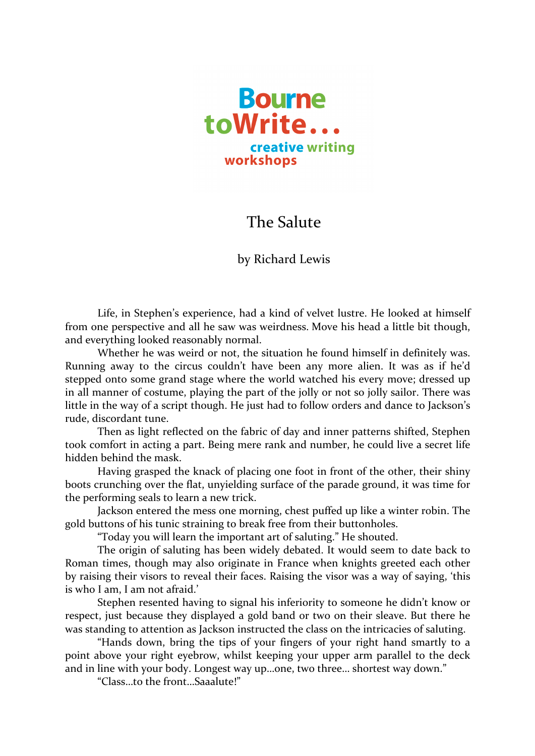

## **The Salute**

by Richard Lewis

Life, in Stephen's experience, had a kind of velvet lustre. He looked at himself from one perspective and all he saw was weirdness. Move his head a little bit though, and everything looked reasonably normal.

Whether he was weird or not, the situation he found himself in definitely was. Running away to the circus couldn't have been any more alien. It was as if he'd stepped onto some grand stage where the world watched his every move; dressed up in all manner of costume, playing the part of the jolly or not so jolly sailor. There was little in the way of a script though. He just had to follow orders and dance to Jackson's rude, discordant tune.

Then as light reflected on the fabric of day and inner patterns shifted, Stephen took comfort in acting a part. Being mere rank and number, he could live a secret life hidden behind the mask.

Having grasped the knack of placing one foot in front of the other, their shiny boots crunching over the flat, unyielding surface of the parade ground, it was time for the performing seals to learn a new trick.

Jackson entered the mess one morning, chest puffed up like a winter robin. The gold buttons of his tunic straining to break free from their buttonholes.

"Today you will learn the important art of saluting." He shouted.

The origin of saluting has been widely debated. It would seem to date back to Roman times, though may also originate in France when knights greeted each other by raising their visors to reveal their faces. Raising the visor was a way of saying, 'this is who I am, I am not afraid.'

Stephen resented having to signal his inferiority to someone he didn't know or respect, just because they displayed a gold band or two on their sleave. But there he was standing to attention as Jackson instructed the class on the intricacies of saluting.

"Hands down, bring the tips of your fingers of your right hand smartly to a point above your right eyebrow, whilst keeping your upper arm parallel to the deck and in line with your body. Longest way up...one, two three... shortest way down."

"Class...to the front...Saaalute!"